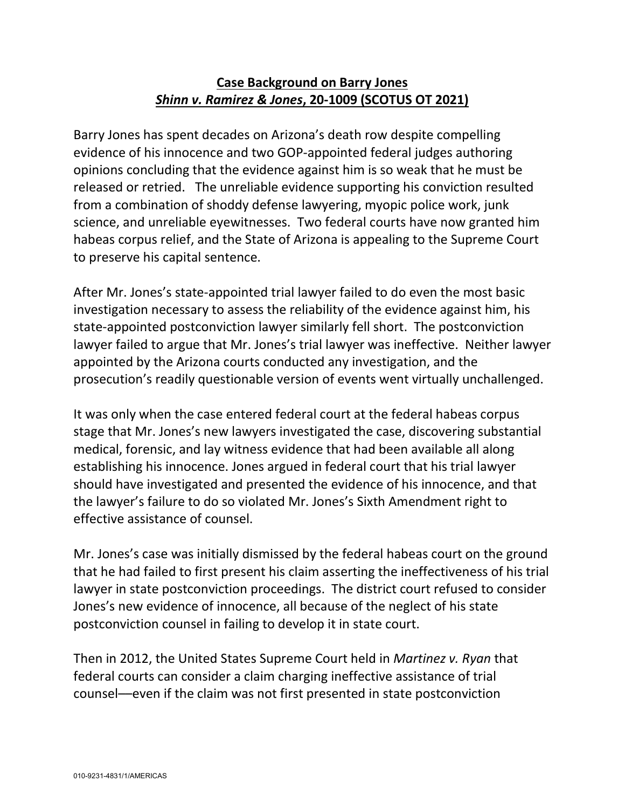#### **Case Background on Barry Jones** *Shinn v. Ramirez & Jones***, 20-1009 (SCOTUS OT 2021)**

Barry Jones has spent decades on Arizona's death row despite compelling evidence of his innocence and two GOP-appointed federal judges authoring opinions concluding that the evidence against him is so weak that he must be released or retried. The unreliable evidence supporting his conviction resulted from a combination of shoddy defense lawyering, myopic police work, junk science, and unreliable eyewitnesses. Two federal courts have now granted him habeas corpus relief, and the State of Arizona is appealing to the Supreme Court to preserve his capital sentence.

After Mr. Jones's state-appointed trial lawyer failed to do even the most basic investigation necessary to assess the reliability of the evidence against him, his state-appointed postconviction lawyer similarly fell short. The postconviction lawyer failed to argue that Mr. Jones's trial lawyer was ineffective. Neither lawyer appointed by the Arizona courts conducted any investigation, and the prosecution's readily questionable version of events went virtually unchallenged.

It was only when the case entered federal court at the federal habeas corpus stage that Mr. Jones's new lawyers investigated the case, discovering substantial medical, forensic, and lay witness evidence that had been available all along establishing his innocence. Jones argued in federal court that his trial lawyer should have investigated and presented the evidence of his innocence, and that the lawyer's failure to do so violated Mr. Jones's Sixth Amendment right to effective assistance of counsel.

Mr. Jones's case was initially dismissed by the federal habeas court on the ground that he had failed to first present his claim asserting the ineffectiveness of his trial lawyer in state postconviction proceedings. The district court refused to consider Jones's new evidence of innocence, all because of the neglect of his state postconviction counsel in failing to develop it in state court.

Then in 2012, the United States Supreme Court held in *Martinez v. Ryan* that federal courts can consider a claim charging ineffective assistance of trial counsel––even if the claim was not first presented in state postconviction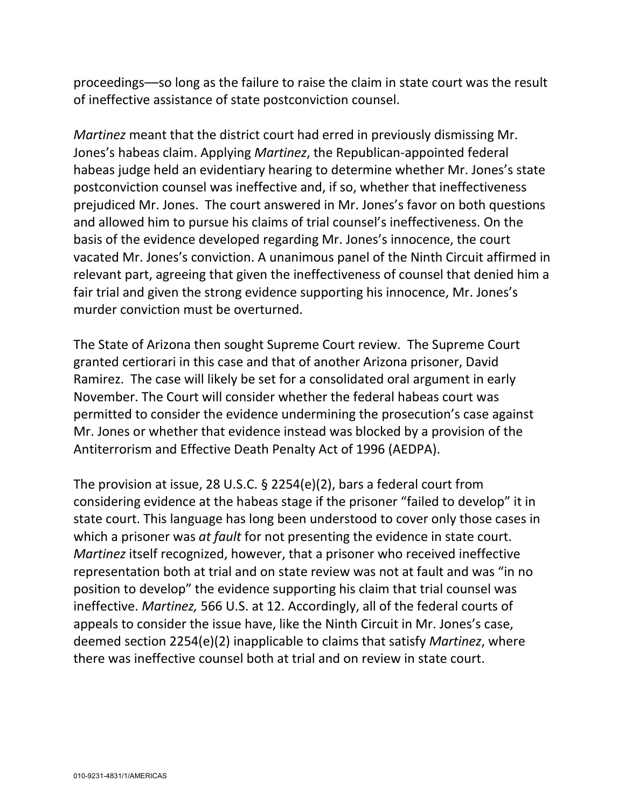proceedings––so long as the failure to raise the claim in state court was the result of ineffective assistance of state postconviction counsel.

*Martinez* meant that the district court had erred in previously dismissing Mr. Jones's habeas claim. Applying *Martinez*, the Republican-appointed federal habeas judge held an evidentiary hearing to determine whether Mr. Jones's state postconviction counsel was ineffective and, if so, whether that ineffectiveness prejudiced Mr. Jones. The court answered in Mr. Jones's favor on both questions and allowed him to pursue his claims of trial counsel's ineffectiveness. On the basis of the evidence developed regarding Mr. Jones's innocence, the court vacated Mr. Jones's conviction. A unanimous panel of the Ninth Circuit affirmed in relevant part, agreeing that given the ineffectiveness of counsel that denied him a fair trial and given the strong evidence supporting his innocence, Mr. Jones's murder conviction must be overturned.

The State of Arizona then sought Supreme Court review. The Supreme Court granted certiorari in this case and that of another Arizona prisoner, David Ramirez. The case will likely be set for a consolidated oral argument in early November. The Court will consider whether the federal habeas court was permitted to consider the evidence undermining the prosecution's case against Mr. Jones or whether that evidence instead was blocked by a provision of the Antiterrorism and Effective Death Penalty Act of 1996 (AEDPA).

The provision at issue, 28 U.S.C. § 2254(e)(2), bars a federal court from considering evidence at the habeas stage if the prisoner "failed to develop" it in state court. This language has long been understood to cover only those cases in which a prisoner was *at fault* for not presenting the evidence in state court. *Martinez* itself recognized, however, that a prisoner who received ineffective representation both at trial and on state review was not at fault and was "in no position to develop" the evidence supporting his claim that trial counsel was ineffective. *Martinez,* 566 U.S. at 12. Accordingly, all of the federal courts of appeals to consider the issue have, like the Ninth Circuit in Mr. Jones's case, deemed section 2254(e)(2) inapplicable to claims that satisfy *Martinez*, where there was ineffective counsel both at trial and on review in state court.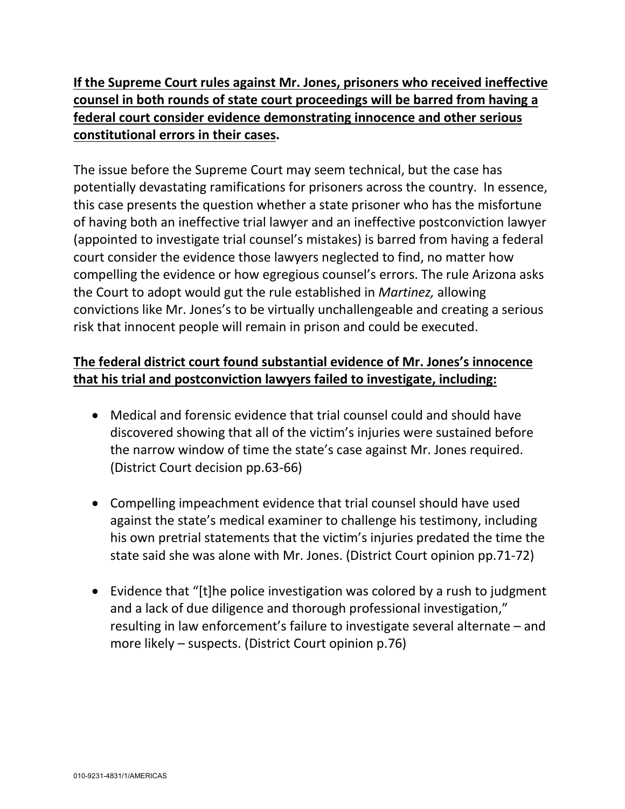**If the Supreme Court rules against Mr. Jones, prisoners who received ineffective counsel in both rounds of state court proceedings will be barred from having a federal court consider evidence demonstrating innocence and other serious constitutional errors in their cases.**

The issue before the Supreme Court may seem technical, but the case has potentially devastating ramifications for prisoners across the country. In essence, this case presents the question whether a state prisoner who has the misfortune of having both an ineffective trial lawyer and an ineffective postconviction lawyer (appointed to investigate trial counsel's mistakes) is barred from having a federal court consider the evidence those lawyers neglected to find, no matter how compelling the evidence or how egregious counsel's errors. The rule Arizona asks the Court to adopt would gut the rule established in *Martinez,* allowing convictions like Mr. Jones's to be virtually unchallengeable and creating a serious risk that innocent people will remain in prison and could be executed.

# **The federal district court found substantial evidence of Mr. Jones's innocence that his trial and postconviction lawyers failed to investigate, including:**

- Medical and forensic evidence that trial counsel could and should have discovered showing that all of the victim's injuries were sustained before the narrow window of time the state's case against Mr. Jones required. (District Court decision pp.63-66)
- Compelling impeachment evidence that trial counsel should have used against the state's medical examiner to challenge his testimony, including his own pretrial statements that the victim's injuries predated the time the state said she was alone with Mr. Jones. (District Court opinion pp.71-72)
- Evidence that "[t]he police investigation was colored by a rush to judgment and a lack of due diligence and thorough professional investigation," resulting in law enforcement's failure to investigate several alternate – and more likely – suspects. (District Court opinion p.76)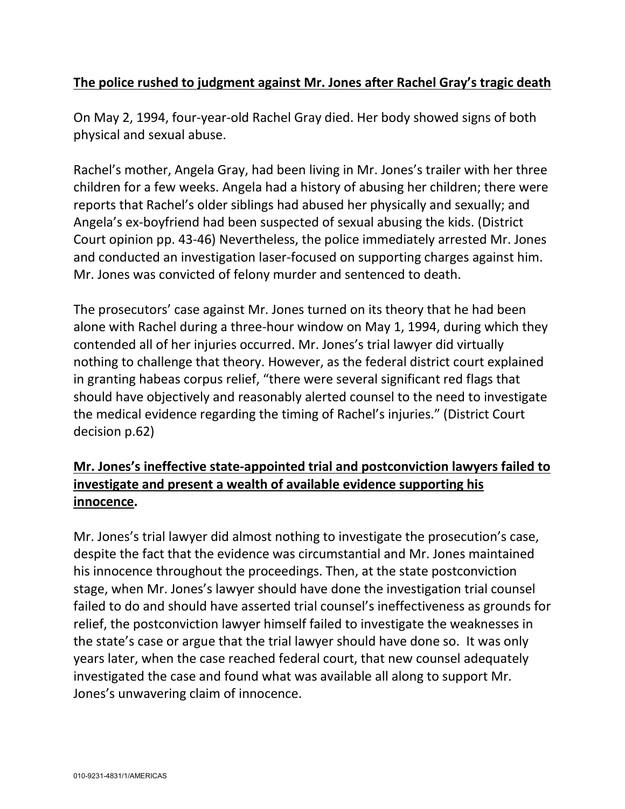#### **The police rushed to judgment against Mr. Jones after Rachel Gray's tragic death**

On May 2, 1994, four-year-old Rachel Gray died. Her body showed signs of both physical and sexual abuse.

Rachel's mother, Angela Gray, had been living in Mr. Jones's trailer with her three children for a few weeks. Angela had a history of abusing her children; there were reports that Rachel's older siblings had abused her physically and sexually; and Angela's ex-boyfriend had been suspected of sexual abusing the kids. (District Court opinion pp. 43-46) Nevertheless, the police immediately arrested Mr. Jones and conducted an investigation laser-focused on supporting charges against him. Mr. Jones was convicted of felony murder and sentenced to death.

The prosecutors' case against Mr. Jones turned on its theory that he had been alone with Rachel during a three-hour window on May 1, 1994, during which they contended all of her injuries occurred. Mr. Jones's trial lawyer did virtually nothing to challenge that theory. However, as the federal district court explained in granting habeas corpus relief, "there were several significant red flags that should have objectively and reasonably alerted counsel to the need to investigate the medical evidence regarding the timing of Rachel's injuries." (District Court decision p.62)

## **Mr. Jones's ineffective state-appointed trial and postconviction lawyers failed to investigate and present a wealth of available evidence supporting his innocence.**

Mr. Jones's trial lawyer did almost nothing to investigate the prosecution's case, despite the fact that the evidence was circumstantial and Mr. Jones maintained his innocence throughout the proceedings. Then, at the state postconviction stage, when Mr. Jones's lawyer should have done the investigation trial counsel failed to do and should have asserted trial counsel's ineffectiveness as grounds for relief, the postconviction lawyer himself failed to investigate the weaknesses in the state's case or argue that the trial lawyer should have done so. It was only years later, when the case reached federal court, that new counsel adequately investigated the case and found what was available all along to support Mr. Jones's unwavering claim of innocence.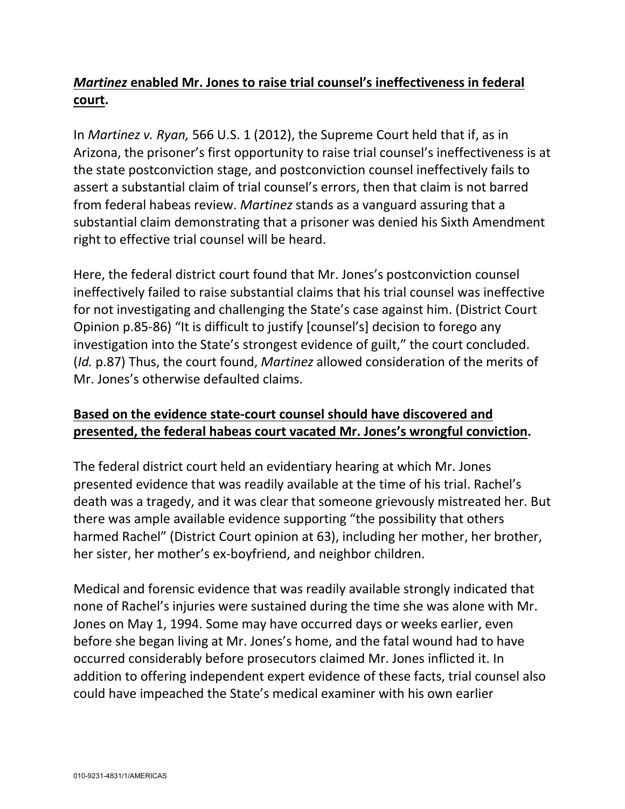## *Martinez* **enabled Mr. Jones to raise trial counsel's ineffectiveness in federal court.**

In *Martinez v. Ryan,* 566 U.S. 1 (2012), the Supreme Court held that if, as in Arizona, the prisoner's first opportunity to raise trial counsel's ineffectiveness is at the state postconviction stage, and postconviction counsel ineffectively fails to assert a substantial claim of trial counsel's errors, then that claim is not barred from federal habeas review. *Martinez* stands as a vanguard assuring that a substantial claim demonstrating that a prisoner was denied his Sixth Amendment right to effective trial counsel will be heard.

Here, the federal district court found that Mr. Jones's postconviction counsel ineffectively failed to raise substantial claims that his trial counsel was ineffective for not investigating and challenging the State's case against him. (District Court Opinion p.85-86) "It is difficult to justify [counsel's] decision to forego any investigation into the State's strongest evidence of guilt," the court concluded. (*Id.* p.87) Thus, the court found, *Martinez* allowed consideration of the merits of Mr. Jones's otherwise defaulted claims.

#### **Based on the evidence state-court counsel should have discovered and presented, the federal habeas court vacated Mr. Jones's wrongful conviction.**

The federal district court held an evidentiary hearing at which Mr. Jones presented evidence that was readily available at the time of his trial. Rachel's death was a tragedy, and it was clear that someone grievously mistreated her. But there was ample available evidence supporting "the possibility that others harmed Rachel" (District Court opinion at 63), including her mother, her brother, her sister, her mother's ex-boyfriend, and neighbor children.

Medical and forensic evidence that was readily available strongly indicated that none of Rachel's injuries were sustained during the time she was alone with Mr. Jones on May 1, 1994. Some may have occurred days or weeks earlier, even before she began living at Mr. Jones's home, and the fatal wound had to have occurred considerably before prosecutors claimed Mr. Jones inflicted it. In addition to offering independent expert evidence of these facts, trial counsel also could have impeached the State's medical examiner with his own earlier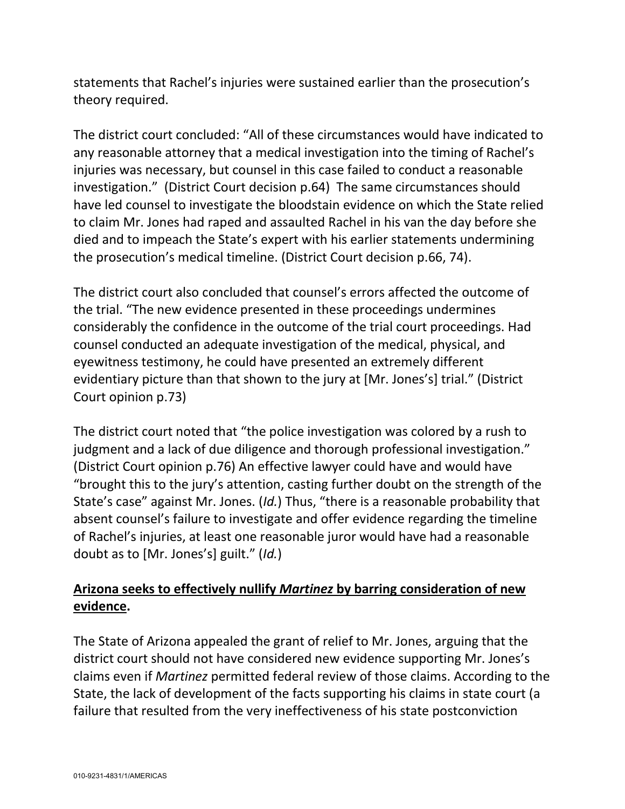statements that Rachel's injuries were sustained earlier than the prosecution's theory required.

The district court concluded: "All of these circumstances would have indicated to any reasonable attorney that a medical investigation into the timing of Rachel's injuries was necessary, but counsel in this case failed to conduct a reasonable investigation." (District Court decision p.64) The same circumstances should have led counsel to investigate the bloodstain evidence on which the State relied to claim Mr. Jones had raped and assaulted Rachel in his van the day before she died and to impeach the State's expert with his earlier statements undermining the prosecution's medical timeline. (District Court decision p.66, 74).

The district court also concluded that counsel's errors affected the outcome of the trial. "The new evidence presented in these proceedings undermines considerably the confidence in the outcome of the trial court proceedings. Had counsel conducted an adequate investigation of the medical, physical, and eyewitness testimony, he could have presented an extremely different evidentiary picture than that shown to the jury at [Mr. Jones's] trial." (District Court opinion p.73)

The district court noted that "the police investigation was colored by a rush to judgment and a lack of due diligence and thorough professional investigation." (District Court opinion p.76) An effective lawyer could have and would have "brought this to the jury's attention, casting further doubt on the strength of the State's case" against Mr. Jones. (*Id.*) Thus, "there is a reasonable probability that absent counsel's failure to investigate and offer evidence regarding the timeline of Rachel's injuries, at least one reasonable juror would have had a reasonable doubt as to [Mr. Jones's] guilt." (*Id.*)

## **Arizona seeks to effectively nullify** *Martinez* **by barring consideration of new evidence.**

The State of Arizona appealed the grant of relief to Mr. Jones, arguing that the district court should not have considered new evidence supporting Mr. Jones's claims even if *Martinez* permitted federal review of those claims. According to the State, the lack of development of the facts supporting his claims in state court (a failure that resulted from the very ineffectiveness of his state postconviction